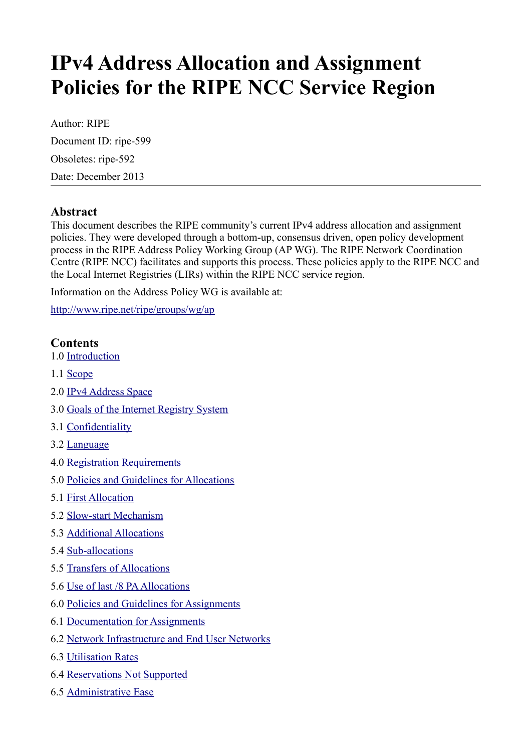# **IPv4 Address Allocation and Assignment Policies for the RIPE NCC Service Region**

Author: RIPE Document ID: ripe-599 Obsoletes: ripe-592 Date: December 2013

# **Abstract**

This document describes the RIPE community's current IPv4 address allocation and assignment policies. They were developed through a bottom-up, consensus driven, open policy development process in the RIPE Address Policy Working Group (AP WG). The RIPE Network Coordination Centre (RIPE NCC) facilitates and supports this process. These policies apply to the RIPE NCC and the Local Internet Registries (LIRs) within the RIPE NCC service region.

Information on the Address Policy WG is available at:

<http://www.ripe.net/ripe/groups/wg/ap>

## **Contents**

- 1.0 [Introduction](#page-1-2)
- 1.1 [Scope](#page-1-1)
- 2.0 [IPv4 Address Space](#page-1-0)
- 3.0 [Goals of the Internet Registry System](#page-2-6)
- 3.1 [Confidentiality](#page-2-5)
- 3.2 [Language](#page-2-4)
- 4.0 [Registration Requirements](#page-2-3)
- 5.0 [Policies and Guidelines for Allocations](#page-2-2)
- 5.1 [First Allocation](#page-2-1)
- 5.2 [Slow-start Mechanism](#page-2-0)
- 5.3 [Additional Allocations](#page-3-1)
- 5.4 [Sub-allocations](#page-3-0)
- 5.5 [Transfers of Allocations](#page-4-0)
- 5.6 [Use of last /8 PA Allocations](#page-5-0)
- 6.0 [Policies and Guidelines for Assignments](#page-6-3)
- 6.1 [Documentation for Assignments](#page-6-2)
- 6.2 [Network Infrastructure and End User Networks](#page-6-1)
- 6.3 [Utilisation Rates](#page-6-0)
- 6.4 [Reservations Not Supported](#page-7-1)
- 6.5 [Administrative Ease](#page-7-0)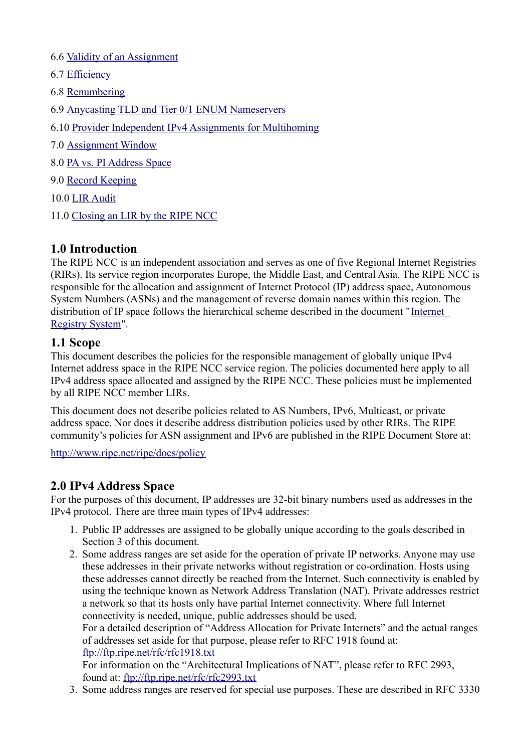- 6.6 [Validity of an Assignment](#page-7-5)
- 6.7 [Efficiency](#page-7-4)
- 6.8 [Renumbering](#page-7-3)
- 6.9 [Anycasting TLD and Tier 0/1 ENUM Nameservers](#page-7-2)
- 6.10 [Provider Independent IPv4 Assignments for Multihoming](#page-8-1)
- 7.0 [Assignment Window](#page-8-0)
- 8.0 [PA vs. PI Address Space](#page-9-0)
- 9.0 [Record Keeping](#page-11-2)
- 10.0 [LIR Audit](#page-11-1)
- 11.0 [Closing an LIR by the RIPE NCC](#page-11-0)

# <span id="page-1-2"></span>**1.0 Introduction**

The RIPE NCC is an independent association and serves as one of five Regional Internet Registries (RIRs). Its service region incorporates Europe, the Middle East, and Central Asia. The RIPE NCC is responsible for the allocation and assignment of Internet Protocol (IP) address space, Autonomous System Numbers (ASNs) and the management of reverse domain names within this region. The distribution of IP space follows the hierarchical scheme described in the document "[Internet](https://www.ripe.net/internet-coordination/internet-governance/internet-technical-community/the-rir-system)  [Registry System"](https://www.ripe.net/internet-coordination/internet-governance/internet-technical-community/the-rir-system).

#### <span id="page-1-1"></span>**1.1 Scope**

This document describes the policies for the responsible management of globally unique IPv4 Internet address space in the RIPE NCC service region. The policies documented here apply to all IPv4 address space allocated and assigned by the RIPE NCC. These policies must be implemented by all RIPE NCC member LIRs.

This document does not describe policies related to AS Numbers, IPv6, Multicast, or private address space. Nor does it describe address distribution policies used by other RIRs. The RIPE community's policies for ASN assignment and IPv6 are published in the RIPE Document Store at:

<http://www.ripe.net/ripe/docs/policy>

#### <span id="page-1-0"></span>**2.0 IPv4 Address Space**

For the purposes of this document, IP addresses are 32-bit binary numbers used as addresses in the IPv4 protocol. There are three main types of IPv4 addresses:

- 1. Public IP addresses are assigned to be globally unique according to the goals described in Section 3 of this document.
- 2. Some address ranges are set aside for the operation of private IP networks. Anyone may use these addresses in their private networks without registration or co-ordination. Hosts using these addresses cannot directly be reached from the Internet. Such connectivity is enabled by using the technique known as Network Address Translation (NAT). Private addresses restrict a network so that its hosts only have partial Internet connectivity. Where full Internet connectivity is needed, unique, public addresses should be used. For a detailed description of "Address Allocation for Private Internets" and the actual ranges of addresses set aside for that purpose, please refer to RFC 1918 found at:

<ftp://ftp.ripe.net/rfc/rfc1918.txt>

For information on the "Architectural Implications of NAT", please refer to RFC 2993, found at:<ftp://ftp.ripe.net/rfc/rfc2993.txt>

3. Some address ranges are reserved for special use purposes. These are described in RFC 3330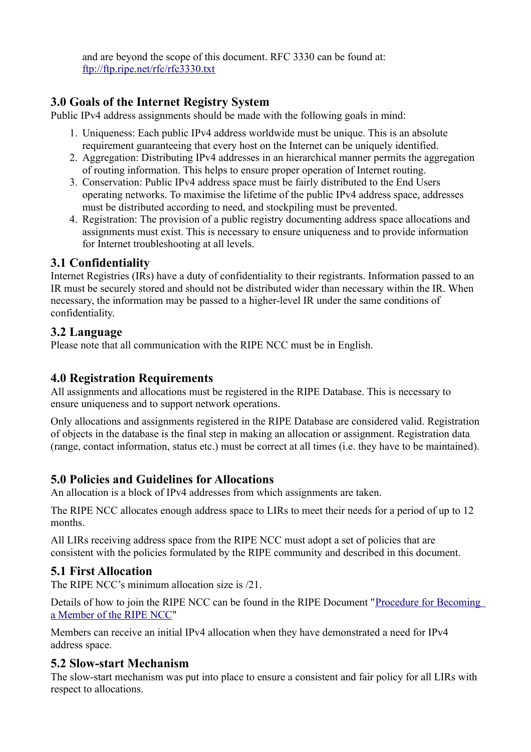and are beyond the scope of this document. RFC 3330 can be found at: <ftp://ftp.ripe.net/rfc/rfc3330.txt>

# <span id="page-2-6"></span>**3.0 Goals of the Internet Registry System**

Public IPv4 address assignments should be made with the following goals in mind:

- 1. Uniqueness: Each public IPv4 address worldwide must be unique. This is an absolute requirement guaranteeing that every host on the Internet can be uniquely identified.
- 2. Aggregation: Distributing IPv4 addresses in an hierarchical manner permits the aggregation of routing information. This helps to ensure proper operation of Internet routing.
- 3. Conservation: Public IPv4 address space must be fairly distributed to the End Users operating networks. To maximise the lifetime of the public IPv4 address space, addresses must be distributed according to need, and stockpiling must be prevented.
- 4. Registration: The provision of a public registry documenting address space allocations and assignments must exist. This is necessary to ensure uniqueness and to provide information for Internet troubleshooting at all levels.

## <span id="page-2-5"></span>**3.1 Confidentiality**

Internet Registries (IRs) have a duty of confidentiality to their registrants. Information passed to an IR must be securely stored and should not be distributed wider than necessary within the IR. When necessary, the information may be passed to a higher-level IR under the same conditions of confidentiality.

## <span id="page-2-4"></span>**3.2 Language**

Please note that all communication with the RIPE NCC must be in English.

# <span id="page-2-3"></span>**4.0 Registration Requirements**

All assignments and allocations must be registered in the RIPE Database. This is necessary to ensure uniqueness and to support network operations.

Only allocations and assignments registered in the RIPE Database are considered valid. Registration of objects in the database is the final step in making an allocation or assignment. Registration data (range, contact information, status etc.) must be correct at all times (i.e. they have to be maintained).

# <span id="page-2-2"></span>**5.0 Policies and Guidelines for Allocations**

An allocation is a block of IPv4 addresses from which assignments are taken.

The RIPE NCC allocates enough address space to LIRs to meet their needs for a period of up to 12 months.

All LIRs receiving address space from the RIPE NCC must adopt a set of policies that are consistent with the policies formulated by the RIPE community and described in this document.

# <span id="page-2-1"></span>**5.1 First Allocation**

The RIPE NCC's minimum allocation size is /21.

Details of how to join the RIPE NCC can be found in the RIPE Document ["Procedure for Becoming](http://www.ripe.net/lir-services/member-support/become-a-member/becoming-a-member-of-the-ripe-ncc)  [a Member of the RIPE NCC"](http://www.ripe.net/lir-services/member-support/become-a-member/becoming-a-member-of-the-ripe-ncc)

Members can receive an initial IPv4 allocation when they have demonstrated a need for IPv4 address space.

# <span id="page-2-0"></span>**5.2 Slow-start Mechanism**

The slow-start mechanism was put into place to ensure a consistent and fair policy for all LIRs with respect to allocations.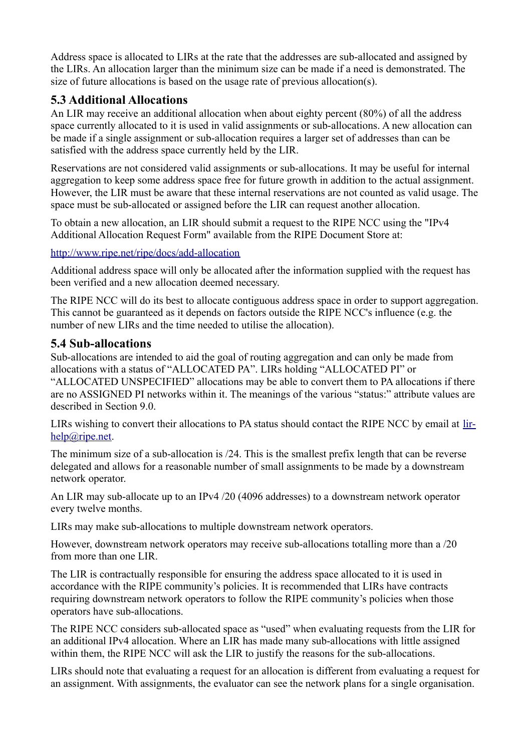Address space is allocated to LIRs at the rate that the addresses are sub-allocated and assigned by the LIRs. An allocation larger than the minimum size can be made if a need is demonstrated. The size of future allocations is based on the usage rate of previous allocation(s).

# <span id="page-3-1"></span>**5.3 Additional Allocations**

An LIR may receive an additional allocation when about eighty percent (80%) of all the address space currently allocated to it is used in valid assignments or sub-allocations. A new allocation can be made if a single assignment or sub-allocation requires a larger set of addresses than can be satisfied with the address space currently held by the LIR.

Reservations are not considered valid assignments or sub-allocations. It may be useful for internal aggregation to keep some address space free for future growth in addition to the actual assignment. However, the LIR must be aware that these internal reservations are not counted as valid usage. The space must be sub-allocated or assigned before the LIR can request another allocation.

To obtain a new allocation, an LIR should submit a request to the RIPE NCC using the "IPv4 Additional Allocation Request Form" available from the RIPE Document Store at:

#### <http://www.ripe.net/ripe/docs/add-allocation>

Additional address space will only be allocated after the information supplied with the request has been verified and a new allocation deemed necessary.

The RIPE NCC will do its best to allocate contiguous address space in order to support aggregation. This cannot be guaranteed as it depends on factors outside the RIPE NCC's influence (e.g. the number of new LIRs and the time needed to utilise the allocation).

#### <span id="page-3-0"></span>**5.4 Sub-allocations**

Sub-allocations are intended to aid the goal of routing aggregation and can only be made from allocations with a status of "ALLOCATED PA". LIRs holding "ALLOCATED PI" or "ALLOCATED UNSPECIFIED" allocations may be able to convert them to PA allocations if there are no ASSIGNED PI networks within it. The meanings of the various "status:" attribute values are described in Section 9.0.

LIRs wishing to convert their allocations to PA status should contact the RIPE NCC by email at [lir](mailto:lir-help@ripe.net)[help@ripe.net.](mailto:lir-help@ripe.net)

The minimum size of a sub-allocation is /24. This is the smallest prefix length that can be reverse delegated and allows for a reasonable number of small assignments to be made by a downstream network operator.

An LIR may sub-allocate up to an IPv4 /20 (4096 addresses) to a downstream network operator every twelve months.

LIRs may make sub-allocations to multiple downstream network operators.

However, downstream network operators may receive sub-allocations totalling more than a /20 from more than one LIR.

The LIR is contractually responsible for ensuring the address space allocated to it is used in accordance with the RIPE community's policies. It is recommended that LIRs have contracts requiring downstream network operators to follow the RIPE community's policies when those operators have sub-allocations.

The RIPE NCC considers sub-allocated space as "used" when evaluating requests from the LIR for an additional IPv4 allocation. Where an LIR has made many sub-allocations with little assigned within them, the RIPE NCC will ask the LIR to justify the reasons for the sub-allocations.

LIRs should note that evaluating a request for an allocation is different from evaluating a request for an assignment. With assignments, the evaluator can see the network plans for a single organisation.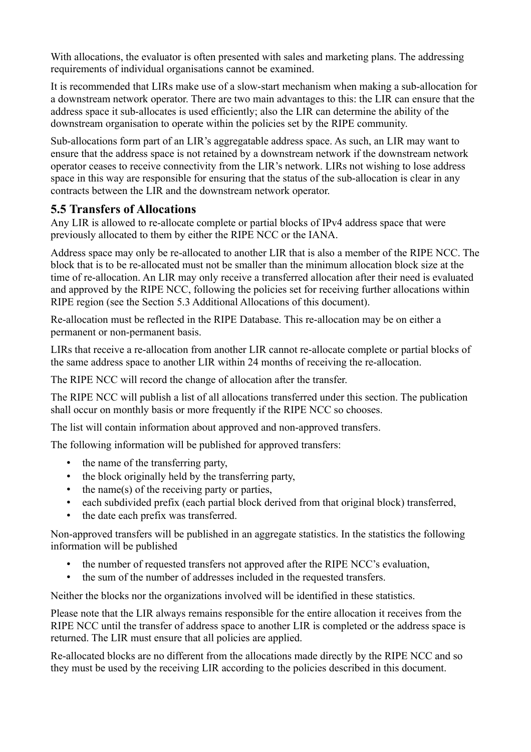With allocations, the evaluator is often presented with sales and marketing plans. The addressing requirements of individual organisations cannot be examined.

It is recommended that LIRs make use of a slow-start mechanism when making a sub-allocation for a downstream network operator. There are two main advantages to this: the LIR can ensure that the address space it sub-allocates is used efficiently; also the LIR can determine the ability of the downstream organisation to operate within the policies set by the RIPE community.

Sub-allocations form part of an LIR's aggregatable address space. As such, an LIR may want to ensure that the address space is not retained by a downstream network if the downstream network operator ceases to receive connectivity from the LIR's network. LIRs not wishing to lose address space in this way are responsible for ensuring that the status of the sub-allocation is clear in any contracts between the LIR and the downstream network operator.

# <span id="page-4-0"></span>**5.5 Transfers of Allocations**

Any LIR is allowed to re-allocate complete or partial blocks of IPv4 address space that were previously allocated to them by either the RIPE NCC or the IANA.

Address space may only be re-allocated to another LIR that is also a member of the RIPE NCC. The block that is to be re-allocated must not be smaller than the minimum allocation block size at the time of re-allocation. An LIR may only receive a transferred allocation after their need is evaluated and approved by the RIPE NCC, following the policies set for receiving further allocations within RIPE region (see the Section 5.3 Additional Allocations of this document).

Re-allocation must be reflected in the RIPE Database. This re-allocation may be on either a permanent or non-permanent basis.

LIRs that receive a re-allocation from another LIR cannot re-allocate complete or partial blocks of the same address space to another LIR within 24 months of receiving the re-allocation.

The RIPE NCC will record the change of allocation after the transfer.

The RIPE NCC will publish a list of all allocations transferred under this section. The publication shall occur on monthly basis or more frequently if the RIPE NCC so chooses.

The list will contain information about approved and non-approved transfers.

The following information will be published for approved transfers:

- the name of the transferring party,
- the block originally held by the transferring party,
- the name(s) of the receiving party or parties,
- each subdivided prefix (each partial block derived from that original block) transferred,
- the date each prefix was transferred.

Non-approved transfers will be published in an aggregate statistics. In the statistics the following information will be published

- the number of requested transfers not approved after the RIPE NCC's evaluation,
- the sum of the number of addresses included in the requested transfers.

Neither the blocks nor the organizations involved will be identified in these statistics.

Please note that the LIR always remains responsible for the entire allocation it receives from the RIPE NCC until the transfer of address space to another LIR is completed or the address space is returned. The LIR must ensure that all policies are applied.

Re-allocated blocks are no different from the allocations made directly by the RIPE NCC and so they must be used by the receiving LIR according to the policies described in this document.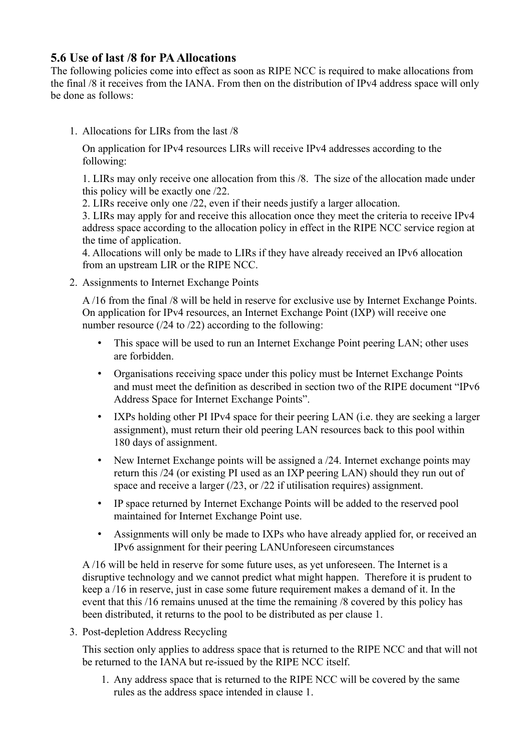# <span id="page-5-0"></span>**5.6 Use of last /8 for PA Allocations**

The following policies come into effect as soon as RIPE NCC is required to make allocations from the final /8 it receives from the IANA. From then on the distribution of IPv4 address space will only be done as follows:

1. Allocations for LIRs from the last /8

On application for IPv4 resources LIRs will receive IPv4 addresses according to the following:

1. LIRs may only receive one allocation from this /8. The size of the allocation made under this policy will be exactly one /22.

2. LIRs receive only one /22, even if their needs justify a larger allocation.

3. LIRs may apply for and receive this allocation once they meet the criteria to receive IPv4 address space according to the allocation policy in effect in the RIPE NCC service region at the time of application.

4. Allocations will only be made to LIRs if they have already received an IPv6 allocation from an upstream LIR or the RIPE NCC.

2. Assignments to Internet Exchange Points

A /16 from the final /8 will be held in reserve for exclusive use by Internet Exchange Points. On application for IPv4 resources, an Internet Exchange Point (IXP) will receive one number resource (/24 to /22) according to the following:

- This space will be used to run an Internet Exchange Point peering LAN; other uses are forbidden.
- Organisations receiving space under this policy must be Internet Exchange Points and must meet the definition as described in section two of the RIPE document "IPv6 Address Space for Internet Exchange Points".
- IXPs holding other PI IPv4 space for their peering LAN (i.e. they are seeking a larger assignment), must return their old peering LAN resources back to this pool within 180 days of assignment.
- New Internet Exchange points will be assigned a /24. Internet exchange points may return this /24 (or existing PI used as an IXP peering LAN) should they run out of space and receive a larger (/23, or /22 if utilisation requires) assignment.
- IP space returned by Internet Exchange Points will be added to the reserved pool maintained for Internet Exchange Point use.
- Assignments will only be made to IXPs who have already applied for, or received an IPv6 assignment for their peering LANUnforeseen circumstances

A /16 will be held in reserve for some future uses, as yet unforeseen. The Internet is a disruptive technology and we cannot predict what might happen. Therefore it is prudent to keep a /16 in reserve, just in case some future requirement makes a demand of it. In the event that this /16 remains unused at the time the remaining /8 covered by this policy has been distributed, it returns to the pool to be distributed as per clause 1.

3. Post-depletion Address Recycling

This section only applies to address space that is returned to the RIPE NCC and that will not be returned to the IANA but re-issued by the RIPE NCC itself.

1. Any address space that is returned to the RIPE NCC will be covered by the same rules as the address space intended in clause 1.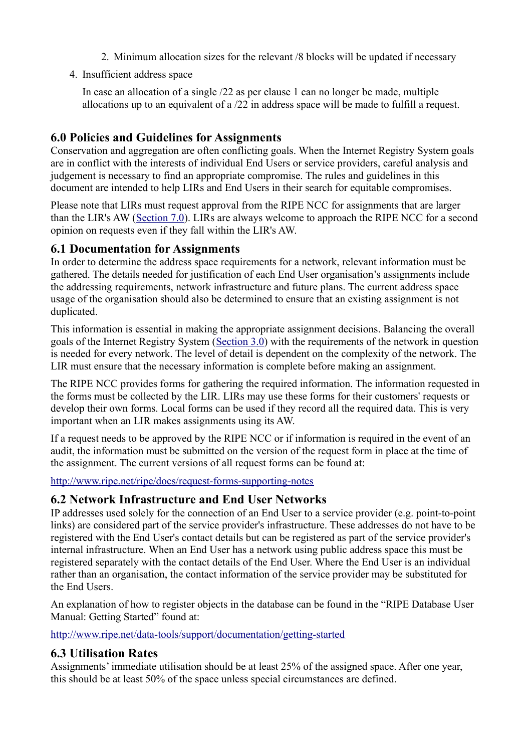- 2. Minimum allocation sizes for the relevant /8 blocks will be updated if necessary
- 4. Insufficient address space

In case an allocation of a single /22 as per clause 1 can no longer be made, multiple allocations up to an equivalent of a /22 in address space will be made to fulfill a request.

# <span id="page-6-3"></span>**6.0 Policies and Guidelines for Assignments**

Conservation and aggregation are often conflicting goals. When the Internet Registry System goals are in conflict with the interests of individual End Users or service providers, careful analysis and judgement is necessary to find an appropriate compromise. The rules and guidelines in this document are intended to help LIRs and End Users in their search for equitable compromises.

Please note that LIRs must request approval from the RIPE NCC for assignments that are larger than the LIR's AW [\(Section 7.0\)](https://www.ripe.net/ripe/docs/ripe-582#bookmark25). LIRs are always welcome to approach the RIPE NCC for a second opinion on requests even if they fall within the LIR's AW.

# <span id="page-6-2"></span>**6.1 Documentation for Assignments**

In order to determine the address space requirements for a network, relevant information must be gathered. The details needed for justification of each End User organisation's assignments include the addressing requirements, network infrastructure and future plans. The current address space usage of the organisation should also be determined to ensure that an existing assignment is not duplicated.

This information is essential in making the appropriate assignment decisions. Balancing the overall goals of the Internet Registry System [\(Section 3.0\)](https://www.ripe.net/ripe/docs/ripe-582#bookmark3) with the requirements of the network in question is needed for every network. The level of detail is dependent on the complexity of the network. The LIR must ensure that the necessary information is complete before making an assignment.

The RIPE NCC provides forms for gathering the required information. The information requested in the forms must be collected by the LIR. LIRs may use these forms for their customers' requests or develop their own forms. Local forms can be used if they record all the required data. This is very important when an LIR makes assignments using its AW.

If a request needs to be approved by the RIPE NCC or if information is required in the event of an audit, the information must be submitted on the version of the request form in place at the time of the assignment. The current versions of all request forms can be found at:

<http://www.ripe.net/ripe/docs/request-forms-supporting-notes>

# <span id="page-6-1"></span>**6.2 Network Infrastructure and End User Networks**

IP addresses used solely for the connection of an End User to a service provider (e.g. point-to-point links) are considered part of the service provider's infrastructure. These addresses do not have to be registered with the End User's contact details but can be registered as part of the service provider's internal infrastructure. When an End User has a network using public address space this must be registered separately with the contact details of the End User. Where the End User is an individual rather than an organisation, the contact information of the service provider may be substituted for the End Users.

An explanation of how to register objects in the database can be found in the "RIPE Database User Manual: Getting Started" found at:

<http://www.ripe.net/data-tools/support/documentation/getting-started>

# <span id="page-6-0"></span>**6.3 Utilisation Rates**

Assignments' immediate utilisation should be at least 25% of the assigned space. After one year, this should be at least 50% of the space unless special circumstances are defined.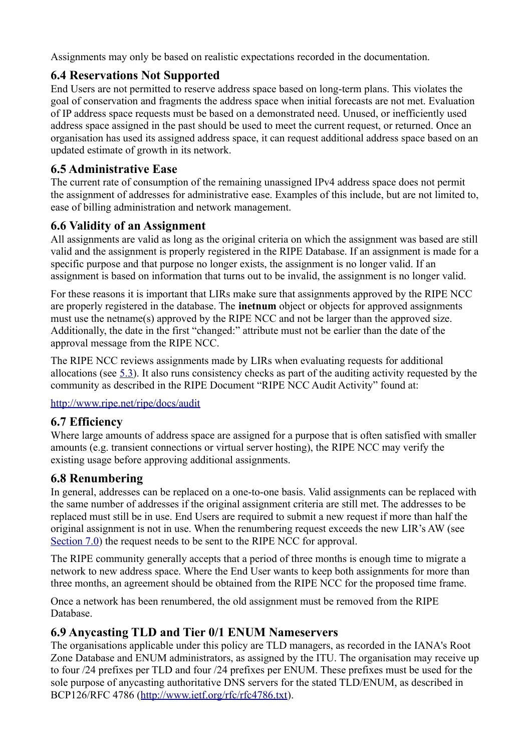Assignments may only be based on realistic expectations recorded in the documentation.

# <span id="page-7-1"></span>**6.4 Reservations Not Supported**

End Users are not permitted to reserve address space based on long-term plans. This violates the goal of conservation and fragments the address space when initial forecasts are not met. Evaluation of IP address space requests must be based on a demonstrated need. Unused, or inefficiently used address space assigned in the past should be used to meet the current request, or returned. Once an organisation has used its assigned address space, it can request additional address space based on an updated estimate of growth in its network.

# <span id="page-7-0"></span>**6.5 Administrative Ease**

The current rate of consumption of the remaining unassigned IPv4 address space does not permit the assignment of addresses for administrative ease. Examples of this include, but are not limited to, ease of billing administration and network management.

# <span id="page-7-5"></span>**6.6 Validity of an Assignment**

All assignments are valid as long as the original criteria on which the assignment was based are still valid and the assignment is properly registered in the RIPE Database. If an assignment is made for a specific purpose and that purpose no longer exists, the assignment is no longer valid. If an assignment is based on information that turns out to be invalid, the assignment is no longer valid.

For these reasons it is important that LIRs make sure that assignments approved by the RIPE NCC are properly registered in the database. The **inetnum** object or objects for approved assignments must use the netname(s) approved by the RIPE NCC and not be larger than the approved size. Additionally, the date in the first "changed:" attribute must not be earlier than the date of the approval message from the RIPE NCC.

The RIPE NCC reviews assignments made by LIRs when evaluating requests for additional allocations (see [5.3\)](https://www.ripe.net/ripe/docs/ripe-582#bookmark10). It also runs consistency checks as part of the auditing activity requested by the community as described in the RIPE Document "RIPE NCC Audit Activity" found at:

<http://www.ripe.net/ripe/docs/audit>

# <span id="page-7-4"></span>**6.7 Efficiency**

Where large amounts of address space are assigned for a purpose that is often satisfied with smaller amounts (e.g. transient connections or virtual server hosting), the RIPE NCC may verify the existing usage before approving additional assignments.

# <span id="page-7-3"></span>**6.8 Renumbering**

In general, addresses can be replaced on a one-to-one basis. Valid assignments can be replaced with the same number of addresses if the original assignment criteria are still met. The addresses to be replaced must still be in use. End Users are required to submit a new request if more than half the original assignment is not in use. When the renumbering request exceeds the new LIR's AW (see [Section 7.0\)](https://www.ripe.net/ripe/docs/ripe-582#bookmark25) the request needs to be sent to the RIPE NCC for approval.

The RIPE community generally accepts that a period of three months is enough time to migrate a network to new address space. Where the End User wants to keep both assignments for more than three months, an agreement should be obtained from the RIPE NCC for the proposed time frame.

Once a network has been renumbered, the old assignment must be removed from the RIPE Database.

# <span id="page-7-2"></span>**6.9 Anycasting TLD and Tier 0/1 ENUM Nameservers**

The organisations applicable under this policy are TLD managers, as recorded in the IANA's Root Zone Database and ENUM administrators, as assigned by the ITU. The organisation may receive up to four /24 prefixes per TLD and four /24 prefixes per ENUM. These prefixes must be used for the sole purpose of anycasting authoritative DNS servers for the stated TLD/ENUM, as described in BCP126/RFC 4786 [\(http://www.ietf.org/rfc/rfc4786.txt\)](http://www.ietf.org/rfc/rfc4786.txt).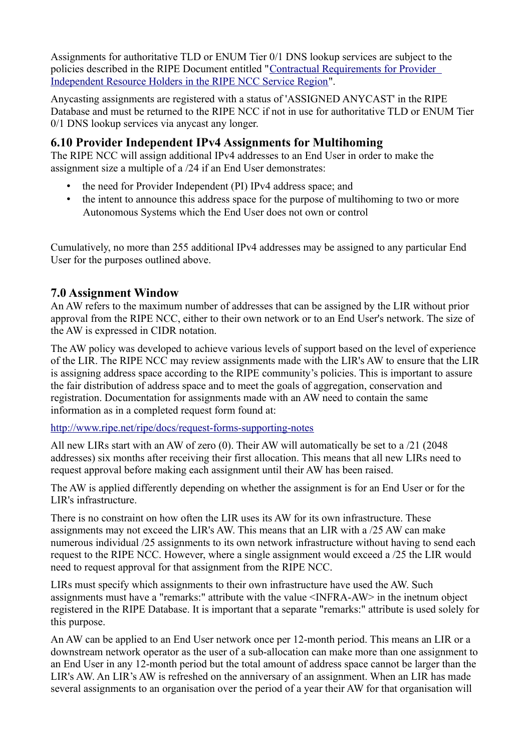Assignments for authoritative TLD or ENUM Tier 0/1 DNS lookup services are subject to the policies described in the RIPE Document entitled ["Contractual Requirements for Provider](https://www.ripe.net/ripe/docs/contract-req)  [Independent Resource Holders in the RIPE NCC Service Region"](https://www.ripe.net/ripe/docs/contract-req).

Anycasting assignments are registered with a status of 'ASSIGNED ANYCAST' in the RIPE Database and must be returned to the RIPE NCC if not in use for authoritative TLD or ENUM Tier 0/1 DNS lookup services via anycast any longer.

# <span id="page-8-1"></span>**6.10 Provider Independent IPv4 Assignments for Multihoming**

The RIPE NCC will assign additional IPv4 addresses to an End User in order to make the assignment size a multiple of a /24 if an End User demonstrates:

- the need for Provider Independent (PI) IPv4 address space; and
- the intent to announce this address space for the purpose of multihoming to two or more Autonomous Systems which the End User does not own or control

Cumulatively, no more than 255 additional IPv4 addresses may be assigned to any particular End User for the purposes outlined above.

## <span id="page-8-0"></span>**7.0 Assignment Window**

An AW refers to the maximum number of addresses that can be assigned by the LIR without prior approval from the RIPE NCC, either to their own network or to an End User's network. The size of the AW is expressed in CIDR notation.

The AW policy was developed to achieve various levels of support based on the level of experience of the LIR. The RIPE NCC may review assignments made with the LIR's AW to ensure that the LIR is assigning address space according to the RIPE community's policies. This is important to assure the fair distribution of address space and to meet the goals of aggregation, conservation and registration. Documentation for assignments made with an AW need to contain the same information as in a completed request form found at:

<http://www.ripe.net/ripe/docs/request-forms-supporting-notes>

All new LIRs start with an AW of zero (0). Their AW will automatically be set to a /21 (2048 addresses) six months after receiving their first allocation. This means that all new LIRs need to request approval before making each assignment until their AW has been raised.

The AW is applied differently depending on whether the assignment is for an End User or for the LIR's infrastructure.

There is no constraint on how often the LIR uses its AW for its own infrastructure. These assignments may not exceed the LIR's AW. This means that an LIR with a /25 AW can make numerous individual /25 assignments to its own network infrastructure without having to send each request to the RIPE NCC. However, where a single assignment would exceed a /25 the LIR would need to request approval for that assignment from the RIPE NCC.

LIRs must specify which assignments to their own infrastructure have used the AW. Such assignments must have a "remarks:" attribute with the value <INFRA-AW> in the inetnum object registered in the RIPE Database. It is important that a separate "remarks:" attribute is used solely for this purpose.

An AW can be applied to an End User network once per 12-month period. This means an LIR or a downstream network operator as the user of a sub-allocation can make more than one assignment to an End User in any 12-month period but the total amount of address space cannot be larger than the LIR's AW. An LIR's AW is refreshed on the anniversary of an assignment. When an LIR has made several assignments to an organisation over the period of a year their AW for that organisation will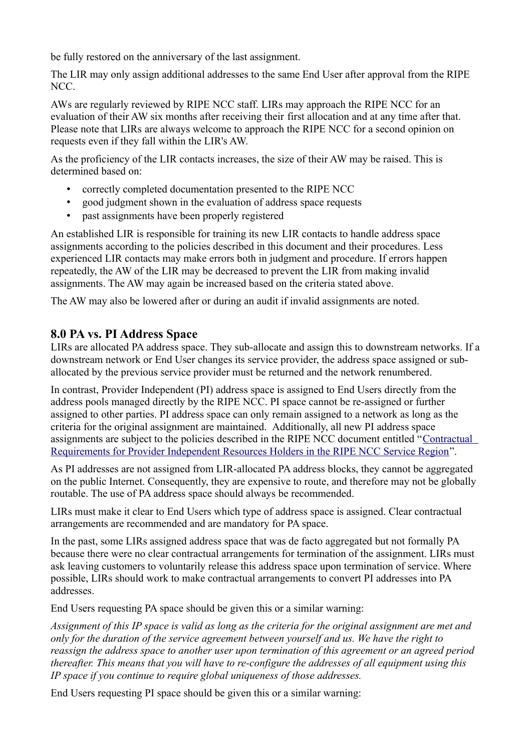be fully restored on the anniversary of the last assignment.

The LIR may only assign additional addresses to the same End User after approval from the RIPE NCC.

AWs are regularly reviewed by RIPE NCC staff. LIRs may approach the RIPE NCC for an evaluation of their AW six months after receiving their first allocation and at any time after that. Please note that LIRs are always welcome to approach the RIPE NCC for a second opinion on requests even if they fall within the LIR's AW.

As the proficiency of the LIR contacts increases, the size of their AW may be raised. This is determined based on:

- correctly completed documentation presented to the RIPE NCC
- good judgment shown in the evaluation of address space requests
- past assignments have been properly registered

An established LIR is responsible for training its new LIR contacts to handle address space assignments according to the policies described in this document and their procedures. Less experienced LIR contacts may make errors both in judgment and procedure. If errors happen repeatedly, the AW of the LIR may be decreased to prevent the LIR from making invalid assignments. The AW may again be increased based on the criteria stated above.

The AW may also be lowered after or during an audit if invalid assignments are noted.

## <span id="page-9-0"></span>**8.0 PA vs. PI Address Space**

LIRs are allocated PA address space. They sub-allocate and assign this to downstream networks. If a downstream network or End User changes its service provider, the address space assigned or suballocated by the previous service provider must be returned and the network renumbered.

In contrast, Provider Independent (PI) address space is assigned to End Users directly from the address pools managed directly by the RIPE NCC. PI space cannot be re-assigned or further assigned to other parties. PI address space can only remain assigned to a network as long as the criteria for the original assignment are maintained. Additionally, all new PI address space assignments are subject to the policies described in the RIPE NCC document entitled "[Contractual](http://www.ripe.net/ripe/docs/contract-req)  [Requirements for Provider Independent Resources Holders in the RIPE NCC Service Region"](http://www.ripe.net/ripe/docs/contract-req).

As PI addresses are not assigned from LIR-allocated PA address blocks, they cannot be aggregated on the public Internet. Consequently, they are expensive to route, and therefore may not be globally routable. The use of PA address space should always be recommended.

LIRs must make it clear to End Users which type of address space is assigned. Clear contractual arrangements are recommended and are mandatory for PA space.

In the past, some LIRs assigned address space that was de facto aggregated but not formally PA because there were no clear contractual arrangements for termination of the assignment. LIRs must ask leaving customers to voluntarily release this address space upon termination of service. Where possible, LIRs should work to make contractual arrangements to convert PI addresses into PA addresses.

End Users requesting PA space should be given this or a similar warning:

*Assignment of this IP space is valid as long as the criteria for the original assignment are met and only for the duration of the service agreement between yourself and us. We have the right to reassign the address space to another user upon termination of this agreement or an agreed period thereafter. This means that you will have to re-configure the addresses of all equipment using this IP space if you continue to require global uniqueness of those addresses.*

End Users requesting PI space should be given this or a similar warning: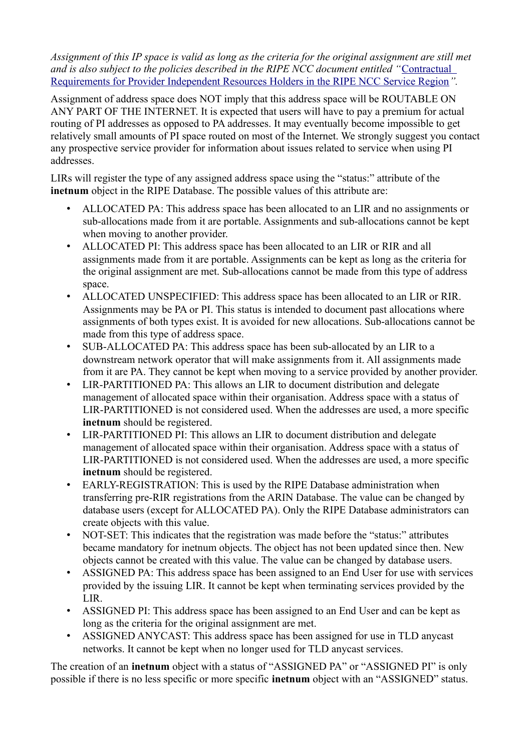*Assignment of this IP space is valid as long as the criteria for the original assignment are still met and is also subject to the policies described in the RIPE NCC document entitled "*[Contractual](http://www.ripe.net/ripe/docs/contract-req)  [Requirements for Provider Independent Resources Holders in the RIPE NCC Service Region](http://www.ripe.net/ripe/docs/contract-req)*".*

Assignment of address space does NOT imply that this address space will be ROUTABLE ON ANY PART OF THE INTERNET. It is expected that users will have to pay a premium for actual routing of PI addresses as opposed to PA addresses. It may eventually become impossible to get relatively small amounts of PI space routed on most of the Internet. We strongly suggest you contact any prospective service provider for information about issues related to service when using PI addresses.

LIRs will register the type of any assigned address space using the "status:" attribute of the **inetnum** object in the RIPE Database. The possible values of this attribute are:

- ALLOCATED PA: This address space has been allocated to an LIR and no assignments or sub-allocations made from it are portable. Assignments and sub-allocations cannot be kept when moving to another provider.
- ALLOCATED PI: This address space has been allocated to an LIR or RIR and all assignments made from it are portable. Assignments can be kept as long as the criteria for the original assignment are met. Sub-allocations cannot be made from this type of address space.
- ALLOCATED UNSPECIFIED: This address space has been allocated to an LIR or RIR. Assignments may be PA or PI. This status is intended to document past allocations where assignments of both types exist. It is avoided for new allocations. Sub-allocations cannot be made from this type of address space.
- SUB-ALLOCATED PA: This address space has been sub-allocated by an LIR to a downstream network operator that will make assignments from it. All assignments made from it are PA. They cannot be kept when moving to a service provided by another provider.
- LIR-PARTITIONED PA: This allows an LIR to document distribution and delegate management of allocated space within their organisation. Address space with a status of LIR-PARTITIONED is not considered used. When the addresses are used, a more specific **inetnum** should be registered.
- LIR-PARTITIONED PI: This allows an LIR to document distribution and delegate management of allocated space within their organisation. Address space with a status of LIR-PARTITIONED is not considered used. When the addresses are used, a more specific **inetnum** should be registered.
- EARLY-REGISTRATION: This is used by the RIPE Database administration when transferring pre-RIR registrations from the ARIN Database. The value can be changed by database users (except for ALLOCATED PA). Only the RIPE Database administrators can create objects with this value.
- NOT-SET: This indicates that the registration was made before the "status:" attributes became mandatory for inetnum objects. The object has not been updated since then. New objects cannot be created with this value. The value can be changed by database users.
- ASSIGNED PA: This address space has been assigned to an End User for use with services provided by the issuing LIR. It cannot be kept when terminating services provided by the LIR.
- ASSIGNED PI: This address space has been assigned to an End User and can be kept as long as the criteria for the original assignment are met.
- ASSIGNED ANYCAST: This address space has been assigned for use in TLD anycast networks. It cannot be kept when no longer used for TLD anycast services.

The creation of an **inetnum** object with a status of "ASSIGNED PA" or "ASSIGNED PI" is only possible if there is no less specific or more specific **inetnum** object with an "ASSIGNED" status.